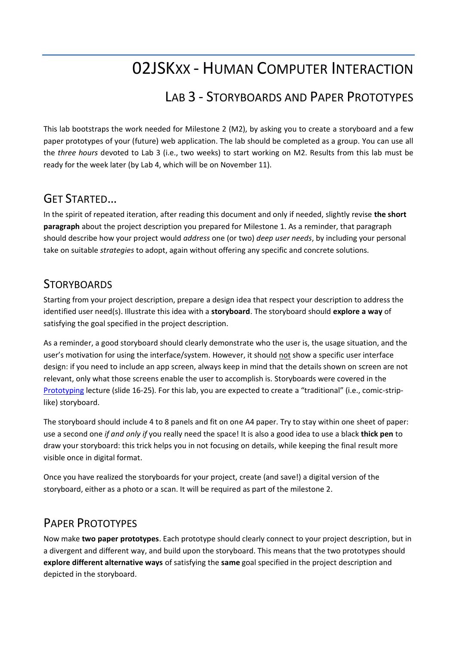# 02JSKXX - HUMAN COMPUTER INTERACTION

## LAB 3 - STORYBOARDS AND PAPER PROTOTYPES

This lab bootstraps the work needed for Milestone 2 (M2), by asking you to create a storyboard and a few paper prototypes of your (future) web application. The lab should be completed as a group. You can use all the *three hours* devoted to Lab 3 (i.e., two weeks) to start working on M2. Results from this lab must be ready for the week later (by Lab 4, which will be on November 11).

#### GET STARTED…

In the spirit of repeated iteration, after reading this document and only if needed, slightly revise **the short paragraph** about the project description you prepared for Milestone 1. As a reminder, that paragraph should describe how your project would *address* one (or two) *deep user needs*, by including your personal take on suitable *strategies* to adopt, again without offering any specific and concrete solutions.

#### **STORYBOARDS**

Starting from your project description, prepare a design idea that respect your description to address the identified user need(s). Illustrate this idea with a **storyboard**. The storyboard should **explore a way** of satisfying the goal specified in the project description.

As a reminder, a good storyboard should clearly demonstrate who the user is, the usage situation, and the user's motivation for using the interface/system. However, it should not show a specific user interface design: if you need to include an app screen, always keep in mind that the details shown on screen are not relevant, only what those screens enable the user to accomplish is. Storyboards were covered in the [Prototyping](https://elite.polito.it/files/courses/02JSKOV/2021/slide/05-prototyping.pdf) lecture (slide 16-25). For this lab, you are expected to create a "traditional" (i.e., comic-striplike) storyboard.

The storyboard should include 4 to 8 panels and fit on one A4 paper. Try to stay within one sheet of paper: use a second one *if and only if* you really need the space! It is also a good idea to use a black **thick pen** to draw your storyboard: this trick helps you in not focusing on details, while keeping the final result more visible once in digital format.

Once you have realized the storyboards for your project, create (and save!) a digital version of the storyboard, either as a photo or a scan. It will be required as part of the milestone 2.

### PAPER PROTOTYPES

Now make **two paper prototypes**. Each prototype should clearly connect to your project description, but in a divergent and different way, and build upon the storyboard. This means that the two prototypes should **explore different alternative ways** of satisfying the **same** goal specified in the project description and depicted in the storyboard.